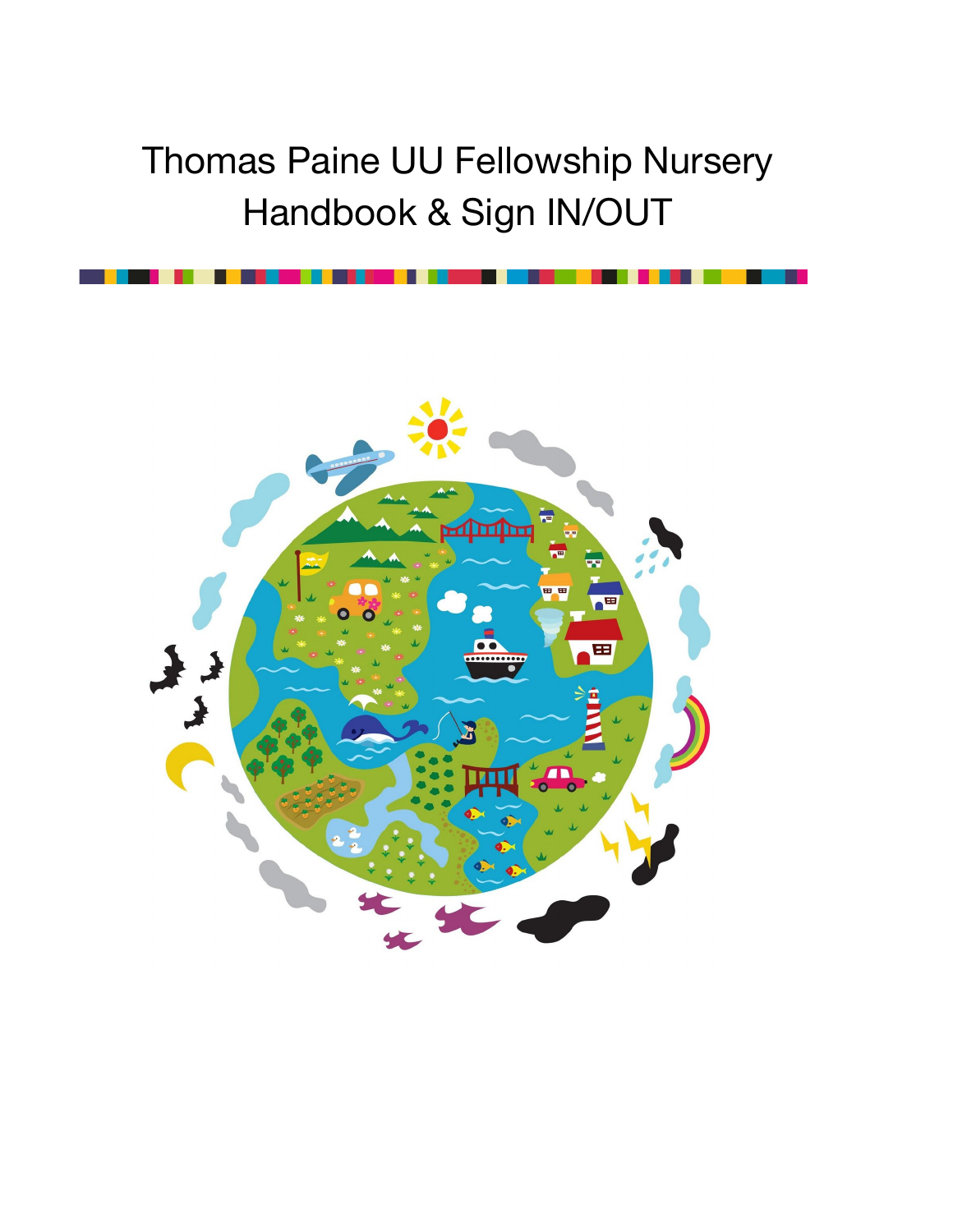# Thomas Paine UU Fellowship Nursery Handbook & Sign IN/OUT

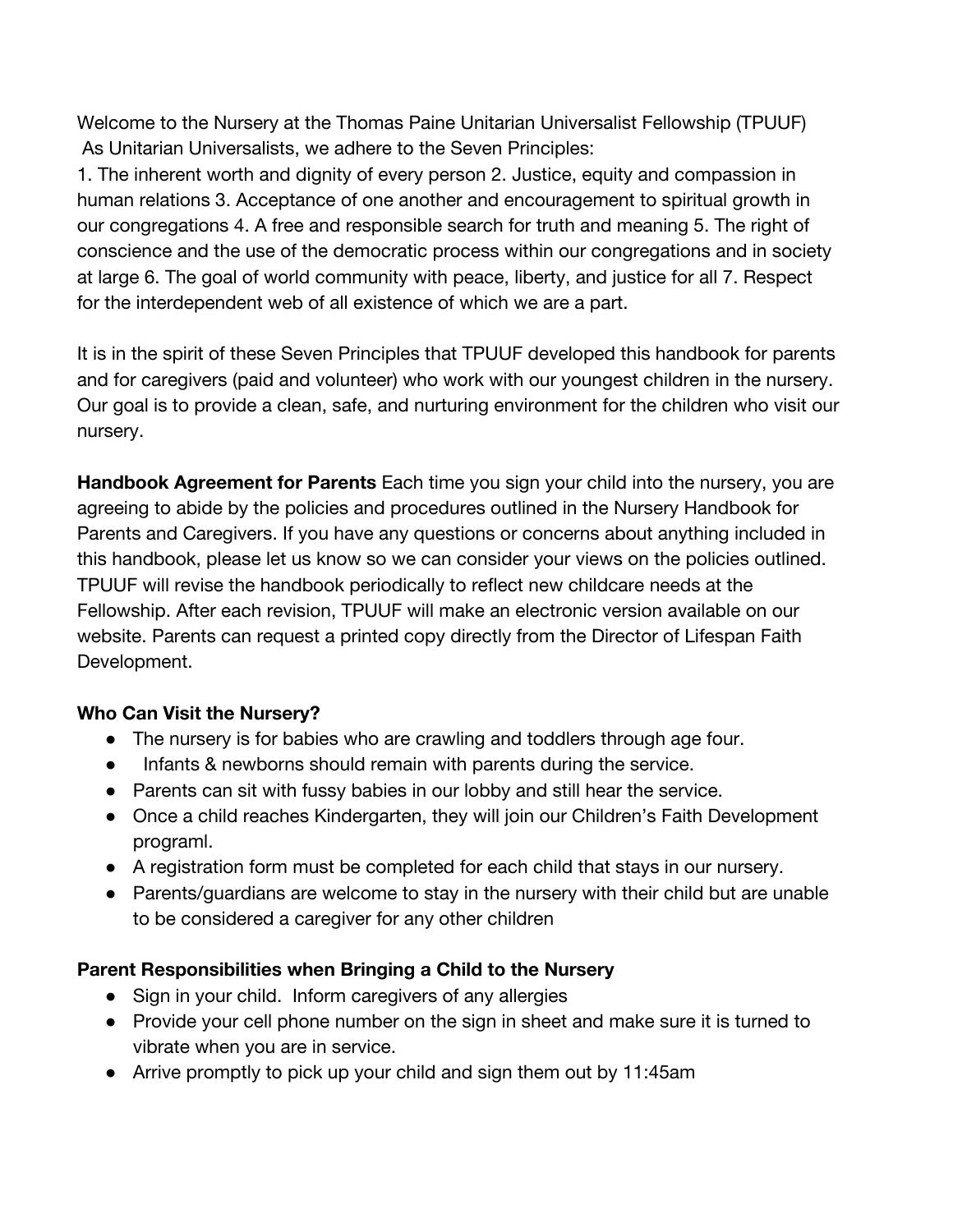Welcome to the Nursery at the Thomas Paine Unitarian Universalist Fellowship (TPUUF) As Unitarian Universalists, we adhere to the Seven Principles:

1. The inherent worth and dignity of every person 2. Justice, equity and compassion in human relations 3. Acceptance of one another and encouragement to spiritual growth in our congregations 4. A free and responsible search for truth and meaning 5. The right of conscience and the use of the democratic process within our congregations and in society at large 6. The goal of world community with peace, liberty, and justice for all 7. Respect for the interdependent web of all existence of which we are a part.

It is in the spirit of these Seven Principles that TPUUF developed this handbook for parents and for caregivers (paid and volunteer) who work with our youngest children in the nursery. Our goal is to provide a clean, safe, and nurturing environment for the children who visit our nursery.

**Handbook Agreement for Parents** Each time you sign your child into the nursery, you are agreeing to abide by the policies and procedures outlined in the Nursery Handbook for Parents and Caregivers. If you have any questions or concerns about anything included in this handbook, please let us know so we can consider your views on the policies outlined. TPUUF will revise the handbook periodically to reflect new childcare needs at the Fellowship. After each revision, TPUUF will make an electronic version available on our website. Parents can request a printed copy directly from the Director of Lifespan Faith Development.

#### **Who Can Visit the Nursery?**

- The nursery is for babies who are crawling and toddlers through age four.
- Infants & newborns should remain with parents during the service.
- Parents can sit with fussy babies in our lobby and still hear the service.
- Once a child reaches Kindergarten, they will join our Children's Faith Development programl.
- A registration form must be completed for each child that stays in our nursery.
- Parents/guardians are welcome to stay in the nursery with their child but are unable to be considered a caregiver for any other children

#### **Parent Responsibilities when Bringing a Child to the Nursery**

- Sign in your child. Inform caregivers of any allergies
- Provide your cell phone number on the sign in sheet and make sure it is turned to vibrate when you are in service.
- Arrive promptly to pick up your child and sign them out by 11:45am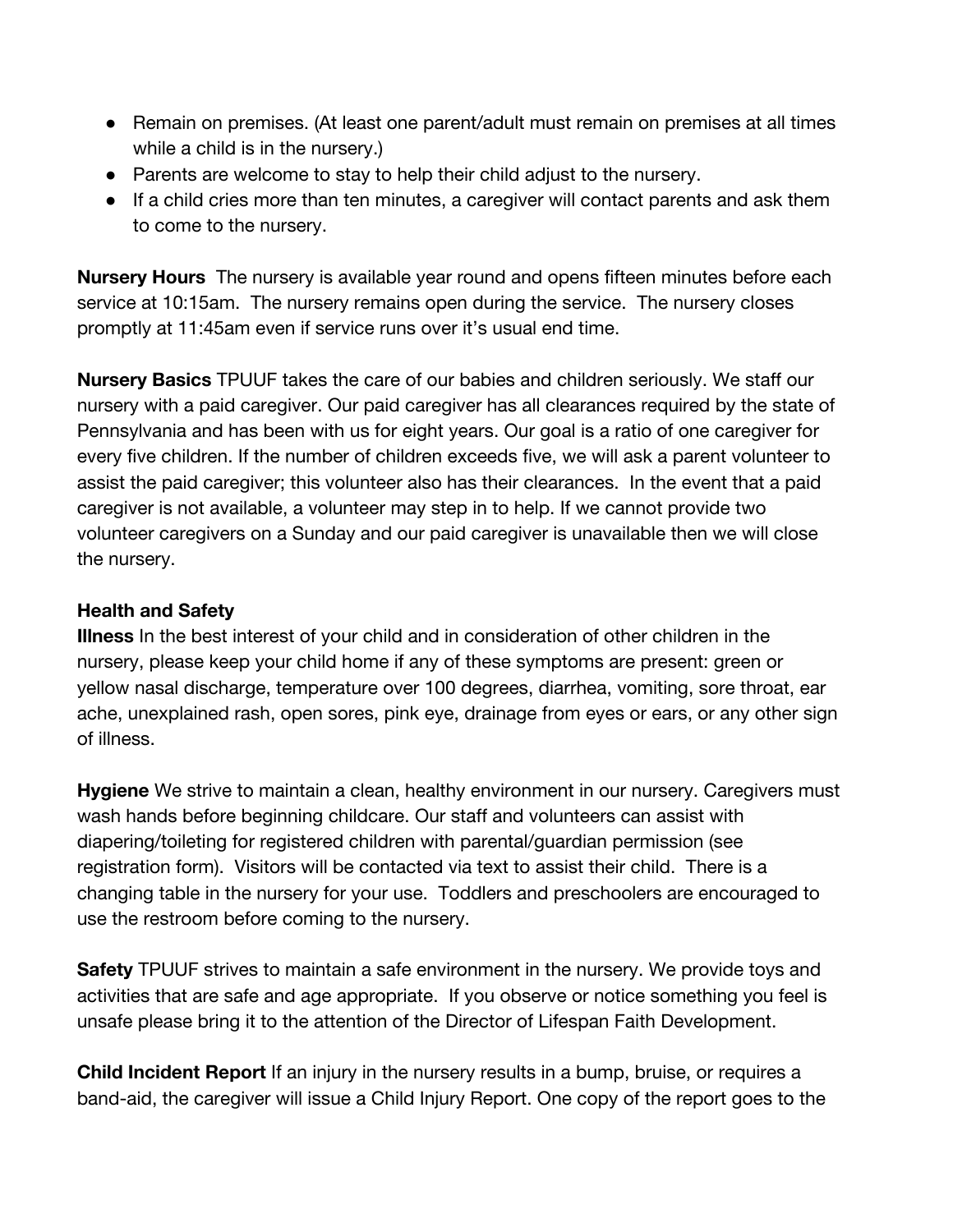- Remain on premises. (At least one parent/adult must remain on premises at all times while a child is in the nursery.)
- Parents are welcome to stay to help their child adjust to the nursery.
- If a child cries more than ten minutes, a caregiver will contact parents and ask them to come to the nursery.

**Nursery Hours** The nursery is available year round and opens fifteen minutes before each service at 10:15am. The nursery remains open during the service. The nursery closes promptly at 11:45am even if service runs over it's usual end time.

**Nursery Basics** TPUUF takes the care of our babies and children seriously. We staff our nursery with a paid caregiver. Our paid caregiver has all clearances required by the state of Pennsylvania and has been with us for eight years. Our goal is a ratio of one caregiver for every five children. If the number of children exceeds five, we will ask a parent volunteer to assist the paid caregiver; this volunteer also has their clearances. In the event that a paid caregiver is not available, a volunteer may step in to help. If we cannot provide two volunteer caregivers on a Sunday and our paid caregiver is unavailable then we will close the nursery.

#### **Health and Safety**

**Illness** In the best interest of your child and in consideration of other children in the nursery, please keep your child home if any of these symptoms are present: green or yellow nasal discharge, temperature over 100 degrees, diarrhea, vomiting, sore throat, ear ache, unexplained rash, open sores, pink eye, drainage from eyes or ears, or any other sign of illness.

**Hygiene** We strive to maintain a clean, healthy environment in our nursery. Caregivers must wash hands before beginning childcare. Our staff and volunteers can assist with diapering/toileting for registered children with parental/guardian permission (see registration form). Visitors will be contacted via text to assist their child. There is a changing table in the nursery for your use. Toddlers and preschoolers are encouraged to use the restroom before coming to the nursery.

**Safety** TPUUF strives to maintain a safe environment in the nursery. We provide toys and activities that are safe and age appropriate. If you observe or notice something you feel is unsafe please bring it to the attention of the Director of Lifespan Faith Development.

**Child Incident Report** If an injury in the nursery results in a bump, bruise, or requires a band-aid, the caregiver will issue a Child Injury Report. One copy of the report goes to the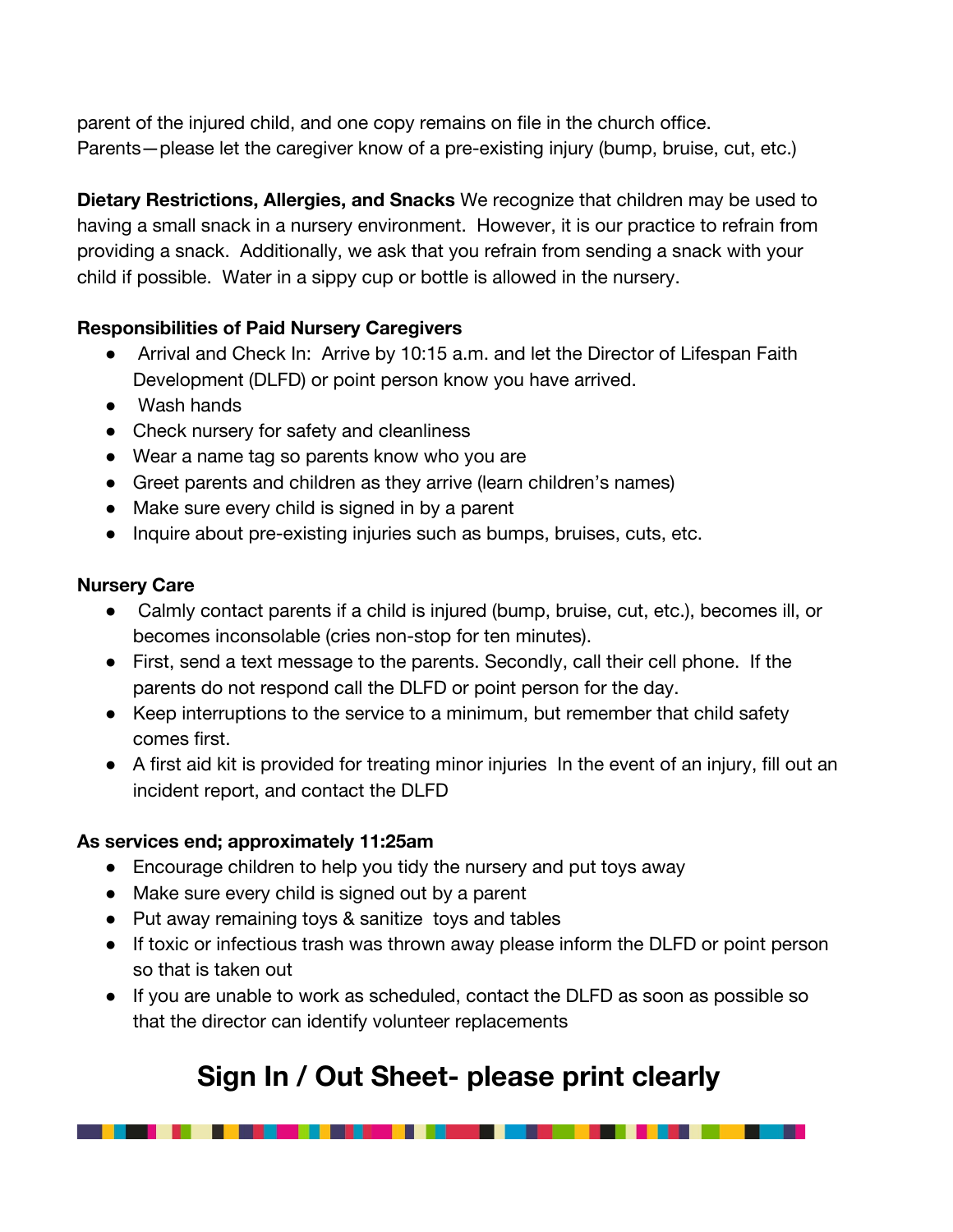parent of the injured child, and one copy remains on file in the church office. Parents—please let the caregiver know of a pre-existing injury (bump, bruise, cut, etc.)

**Dietary Restrictions, Allergies, and Snacks** We recognize that children may be used to having a small snack in a nursery environment. However, it is our practice to refrain from providing a snack. Additionally, we ask that you refrain from sending a snack with your child if possible. Water in a sippy cup or bottle is allowed in the nursery.

#### **Responsibilities of Paid Nursery Caregivers**

- Arrival and Check In: Arrive by 10:15 a.m. and let the Director of Lifespan Faith Development (DLFD) or point person know you have arrived.
- Wash hands
- Check nursery for safety and cleanliness
- Wear a name tag so parents know who you are
- Greet parents and children as they arrive (learn children's names)
- Make sure every child is signed in by a parent
- Inquire about pre-existing injuries such as bumps, bruises, cuts, etc.

#### **Nursery Care**

- Calmly contact parents if a child is injured (bump, bruise, cut, etc.), becomes ill, or becomes inconsolable (cries non-stop for ten minutes).
- First, send a text message to the parents. Secondly, call their cell phone. If the parents do not respond call the DLFD or point person for the day.
- Keep interruptions to the service to a minimum, but remember that child safety comes first.
- A first aid kit is provided for treating minor injuries In the event of an injury, fill out an incident report, and contact the DLFD

### **As services end; approximately 11:25am**

- Encourage children to help you tidy the nursery and put toys away
- Make sure every child is signed out by a parent

. . . . . . . .

- Put away remaining toys & sanitize toys and tables
- If toxic or infectious trash was thrown away please inform the DLFD or point person so that is taken out
- If you are unable to work as scheduled, contact the DLFD as soon as possible so that the director can identify volunteer replacements

## **Sign In / Out Sheet- please print clearly**